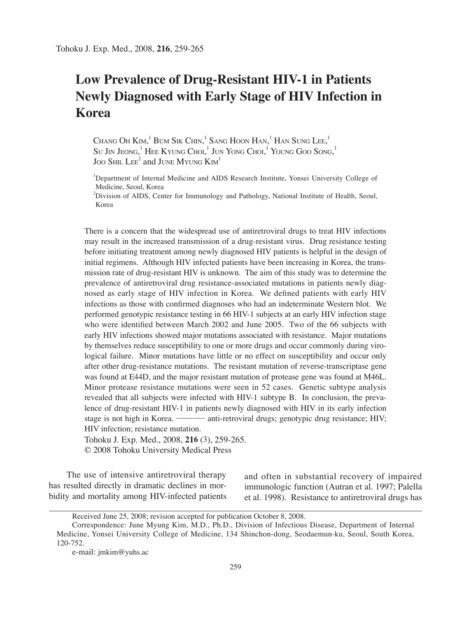# **Low Prevalence of Drug-Resistant HIV-1 in Patients Newly Diagnosed with Early Stage of HIV Infection in Korea**

Chang Oh Kim, $^{1}$  Bum Sik Chin, $^{1}$  Sang Hoon Han, $^{1}$  Han Sung Lee, $^{1}$ Su Jin Jeong, $^1$  Hee Kyung Choi, $^1$  Jun Yong Choi, $^1$  Young Goo Song, $^1$ JOO SHIL  $\text{LEE}^2$  and JUNE MYUNG  $\text{Kim}^1$ 

<sup>1</sup>Department of Internal Medicine and AIDS Research Institute, Yonsei University College of Medicine, Seoul, Korea

2 Division of AIDS, Center for Immunology and Pathology, National Institute of Health, Seoul, Korea

There is a concern that the widespread use of antiretroviral drugs to treat HIV infections may result in the increased transmission of a drug-resistant virus. Drug resistance testing before initiating treatment among newly diagnosed HIV patients is helpful in the design of initial regimens. Although HIV infected patients have been increasing in Korea, the transmission rate of drug-resistant HIV is unknown. The aim of this study was to determine the prevalence of antiretroviral drug resistance-associated mutations in patients newly diagnosed as early stage of HIV infection in Korea. We defined patients with early HIV infections as those with confirmed diagnoses who had an indeterminate Western blot. We performed genotypic resistance testing in 66 HIV-1 subjects at an early HIV infection stage who were identified between March 2002 and June 2005. Two of the 66 subjects with early HIV infections showed major mutations associated with resistance. Major mutations by themselves reduce susceptibility to one or more drugs and occur commonly during virological failure. Minor mutations have little or no effect on susceptibility and occur only after other drug-resistance mutations. The resistant mutation of reverse-transcriptase gene was found at E44D, and the major resistant mutation of protease gene was found at M46L. Minor protease resistance mutations were seen in 52 cases. Genetic subtype analysis revealed that all subjects were infected with HIV-1 subtype B. In conclusion, the prevalence of drug-resistant HIV-1 in patients newly diagnosed with HIV in its early infection stage is not high in Korea. ———— anti-retroviral drugs; genotypic drug resistance; HIV; HIV infection; resistance mutation.

Tohoku J. Exp. Med., 2008, **216** (3), 259-265. © 2008 Tohoku University Medical Press

The use of intensive antiretroviral therapy has resulted directly in dramatic declines in morbidity and mortality among HIV-infected patients and often in substantial recovery of impaired immunologic function (Autran et al. 1997; Palella et al. 1998). Resistance to antiretroviral drugs has

Received June 25, 2008; revision accepted for publication October 8, 2008.

Correspondence: June Myung Kim, M.D., Ph.D., Division of Infectious Disease, Department of Internal Medicine, Yonsei University College of Medicine, 134 Shinchon-dong, Seodaemun-ku, Seoul, South Korea, 120-752.

e-mail: jmkim@yuhs.ac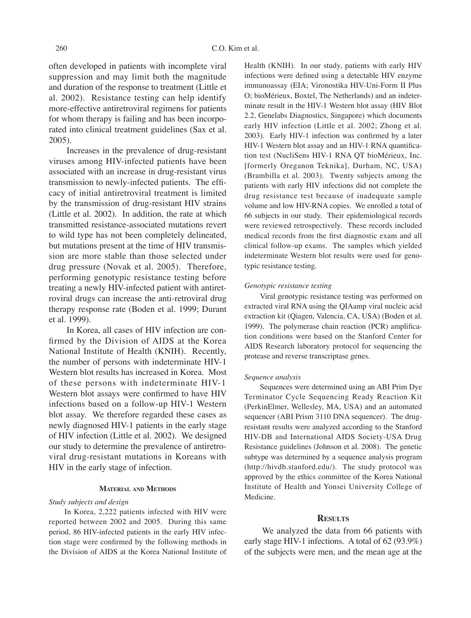often developed in patients with incomplete viral suppression and may limit both the magnitude and duration of the response to treatment (Little et al. 2002). Resistance testing can help identify more-effective antiretroviral regimens for patients for whom therapy is failing and has been incorporated into clinical treatment guidelines (Sax et al. 2005).

Increases in the prevalence of drug-resistant viruses among HIV-infected patients have been associated with an increase in drug-resistant virus transmission to newly-infected patients. The efficacy of initial antiretroviral treatment is limited by the transmission of drug-resistant HIV strains (Little et al. 2002). In addition, the rate at which transmitted resistance-associated mutations revert to wild type has not been completely delineated, but mutations present at the time of HIV transmission are more stable than those selected under drug pressure (Novak et al. 2005). Therefore, performing genotypic resistance testing before treating a newly HIV-infected patient with antiretroviral drugs can increase the anti-retroviral drug therapy response rate (Boden et al. 1999; Durant et al. 1999).

In Korea, all cases of HIV infection are confirmed by the Division of AIDS at the Korea National Institute of Health (KNIH). Recently, the number of persons with indeterminate HIV-1 Western blot results has increased in Korea. Most of these persons with indeterminate HIV-1 Western blot assays were confirmed to have HIV infections based on a follow-up HIV-1 Western blot assay. We therefore regarded these cases as newly diagnosed HIV-1 patients in the early stage of HIV infection (Little et al. 2002). We designed our study to determine the prevalence of antiretroviral drug-resistant mutations in Koreans with HIV in the early stage of infection.

### **MATERIAL AND METHODS**

### *Study subjects and design*

In Korea, 2,222 patients infected with HIV were reported between 2002 and 2005. During this same period, 86 HIV-infected patients in the early HIV infection stage were confirmed by the following methods in the Division of AIDS at the Korea National Institute of Health (KNIH). In our study, patients with early HIV infections were defined using a detectable HIV enzyme immunoassay (EIA; Vironostika HIV-Uni-Form II Plus O; bioMérieux, Boxtel, The Netherlands) and an indeterminate result in the HIV-1 Western blot assay (HIV Blot 2.2, Genelabs Diagnostics, Singapore) which documents early HIV infection (Little et al. 2002; Zhong et al. 2003). Early HIV-1 infection was confirmed by a later HIV-1 Western blot assay and an HIV-1 RNA quantification test (NucliSens HIV-1 RNA QT bioMérieux, Inc. [formerly Oreganon Teknika], Durham, NC, USA) (Brambilla et al. 2003). Twenty subjects among the patients with early HIV infections did not complete the drug resistance test because of inadequate sample volume and low HIV-RNA copies. We enrolled a total of 66 subjects in our study. Their epidemiological records were reviewed retrospectively. These records included medical records from the first diagnostic exam and all clinical follow-up exams. The samples which yielded indeterminate Western blot results were used for genotypic resistance testing.

## *Genotypic resistance testing*

Viral genotypic resistance testing was performed on extracted viral RNA using the QIAamp viral nucleic acid extraction kit (Qiagen, Valencia, CA, USA) (Boden et al. 1999). The polymerase chain reaction (PCR) amplification conditions were based on the Stanford Center for AIDS Research laboratory protocol for sequencing the protease and reverse transcriptase genes.

# *Sequence analysis*

Sequences were determined using an ABI Prim Dye Terminator Cycle Sequencing Ready Reaction Kit (PerkinElmer, Wellesley, MA, USA) and an automated sequencer (ABI Prism 3110 DNA sequencer). The drugresistant results were analyzed according to the Stanford HIV-DB and International AIDS Society-USA Drug Resistance guidelines (Johnson et al. 2008). The genetic subtype was determined by a sequence analysis program (http://hivdb.stanford.edu/). The study protocol was approved by the ethics committee of the Korea National Institute of Health and Yonsei University College of Medicine.

## **RESULTS**

We analyzed the data from 66 patients with early stage HIV-1 infections. A total of 62 (93.9%) of the subjects were men, and the mean age at the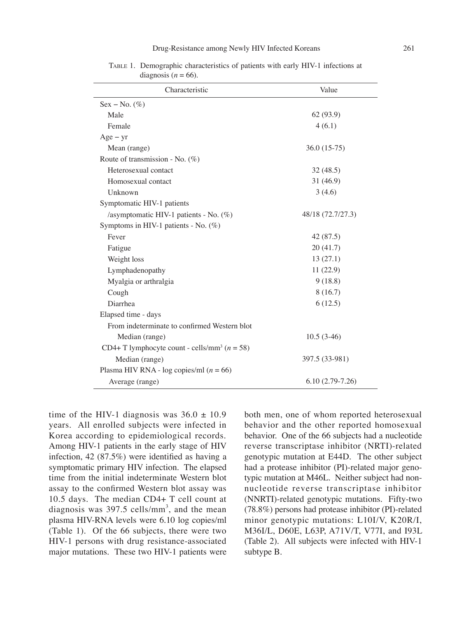| Characteristic                                               | Value             |
|--------------------------------------------------------------|-------------------|
| $Sex - No.$ (%)                                              |                   |
| Male                                                         | 62 (93.9)         |
| Female                                                       | 4(6.1)            |
| $Age - yr$                                                   |                   |
| Mean (range)                                                 | $36.0(15-75)$     |
| Route of transmission - No. $(\%)$                           |                   |
| Heterosexual contact                                         | 32(48.5)          |
| Homosexual contact                                           | 31 (46.9)         |
| Unknown                                                      | 3(4.6)            |
| Symptomatic HIV-1 patients                                   |                   |
| /asymptomatic HIV-1 patients - No. (%)                       | 48/18 (72.7/27.3) |
| Symptoms in HIV-1 patients - No. $(\%)$                      |                   |
| Fever                                                        | 42 (87.5)         |
| Fatigue                                                      | 20(41.7)          |
| Weight loss                                                  | 13(27.1)          |
| Lymphadenopathy                                              | 11(22.9)          |
| Myalgia or arthralgia                                        | 9(18.8)           |
| Cough                                                        | 8(16.7)           |
| Diarrhea                                                     | 6(12.5)           |
| Elapsed time - days                                          |                   |
| From indeterminate to confirmed Western blot                 |                   |
| Median (range)                                               | $10.5(3-46)$      |
| CD4+ T lymphocyte count - cells/mm <sup>3</sup> ( $n = 58$ ) |                   |
| Median (range)                                               | 397.5 (33-981)    |
| Plasma HIV RNA - log copies/ml ( $n = 66$ )                  |                   |
| Average (range)                                              | $6.10(2.79-7.26)$ |

TABLE 1. Demographic characteristics of patients with early HIV-1 infections at diagnosis ( $n = 66$ ).

time of the HIV-1 diagnosis was  $36.0 \pm 10.9$ years. All enrolled subjects were infected in Korea according to epidemiological records. Among HIV-1 patients in the early stage of HIV infection, 42 (87.5%) were identified as having a symptomatic primary HIV infection. The elapsed time from the initial indeterminate Western blot assay to the confirmed Western blot assay was 10.5 days. The median CD4+ T cell count at diagnosis was  $397.5$  cells/mm<sup>3</sup>, and the mean plasma HIV-RNA levels were 6.10 log copies/ml (Table 1). Of the 66 subjects, there were two HIV-1 persons with drug resistance-associated major mutations. These two HIV-1 patients were

both men, one of whom reported heterosexual behavior and the other reported homosexual behavior. One of the 66 subjects had a nucleotide reverse transcriptase inhibitor (NRTI)-related genotypic mutation at E44D. The other subject had a protease inhibitor (PI)-related major genotypic mutation at M46L. Neither subject had nonnucleotide reverse transcriptase inhibitor (NNRTI)-related genotypic mutations. Fifty-two (78.8%) persons had protease inhibitor (PI)-related minor genotypic mutations: L10I/V, K20R/I, M36I/L, D60E, L63P, A71V/T, V77I, and I93L (Table 2). All subjects were infected with HIV-1 subtype B.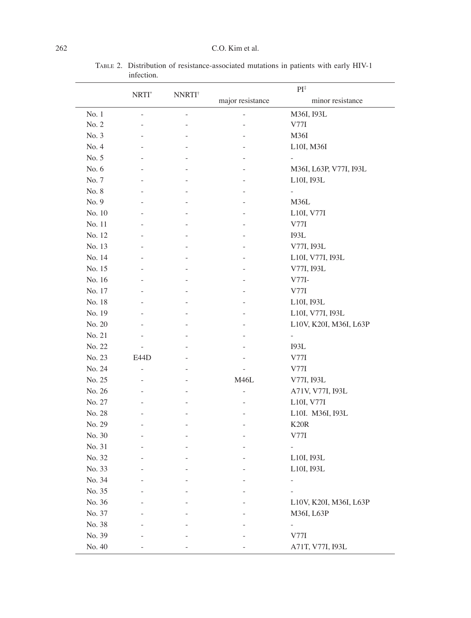|        | NRTI <sup>*</sup> | <b>NNRTI</b> <sup>†</sup> | $PI^*$           |                          |
|--------|-------------------|---------------------------|------------------|--------------------------|
|        |                   |                           | major resistance | minor resistance         |
| No. 1  |                   |                           |                  | M36I, I93L               |
| No. 2  |                   |                           |                  | V77I                     |
| No. 3  |                   |                           |                  | M36I                     |
| No. 4  |                   |                           |                  | L10I, M36I               |
| No. 5  |                   |                           |                  |                          |
| No. 6  |                   |                           |                  | M36I, L63P, V77I, I93L   |
| No. 7  |                   |                           |                  | L10I, 193L               |
| No. 8  |                   |                           |                  |                          |
| No. 9  |                   |                           |                  | M36L                     |
| No. 10 |                   |                           |                  | L10I, V77I               |
| No. 11 |                   |                           |                  | V77I                     |
| No. 12 |                   |                           |                  | <b>I93L</b>              |
| No. 13 |                   |                           |                  | V77I, 193L               |
| No. 14 |                   |                           | $\overline{a}$   | L10I, V77I, I93L         |
| No. 15 |                   |                           |                  | V77I, 193L               |
| No. 16 |                   |                           |                  | $V77I-$                  |
| No. 17 |                   |                           |                  | V77I                     |
| No. 18 |                   |                           |                  | L10I, 193L               |
| No. 19 |                   |                           |                  | L10I, V77I, I93L         |
| No. 20 |                   |                           |                  | L10V, K20I, M36I, L63P   |
| No. 21 |                   |                           |                  |                          |
| No. 22 |                   |                           |                  | <b>I93L</b>              |
| No. 23 | E44D              |                           |                  | V77I                     |
| No. 24 |                   |                           |                  | V77I                     |
| No. 25 |                   |                           | <b>M46L</b>      | V77I, 193L               |
| No. 26 |                   |                           |                  | A71V, V77I, I93L         |
| No. 27 |                   |                           |                  | L10I, V77I               |
| No. 28 |                   |                           |                  | L10I. M36I, I93L         |
| No. 29 | $\overline{a}$    | $\overline{a}$            | $\overline{a}$   | K20R                     |
| No. 30 |                   |                           |                  | V77I                     |
| No. 31 |                   |                           |                  |                          |
| No. 32 |                   |                           |                  | L10I, 193L               |
| No. 33 |                   |                           |                  | L10I, 193L               |
| No. 34 |                   |                           |                  | $\overline{\phantom{a}}$ |
| No. 35 |                   |                           |                  |                          |
| No. 36 |                   |                           |                  | L10V, K20I, M36I, L63P   |
| No. 37 |                   |                           |                  | M36I, L63P               |
| No. 38 |                   |                           |                  | $\overline{\phantom{0}}$ |
| No. 39 |                   |                           |                  | V77I                     |
| No. 40 |                   |                           |                  | A71T, V77I, I93L         |

TABLE 2. Distribution of resistance-associated mutations in patients with early HIV-1 infection.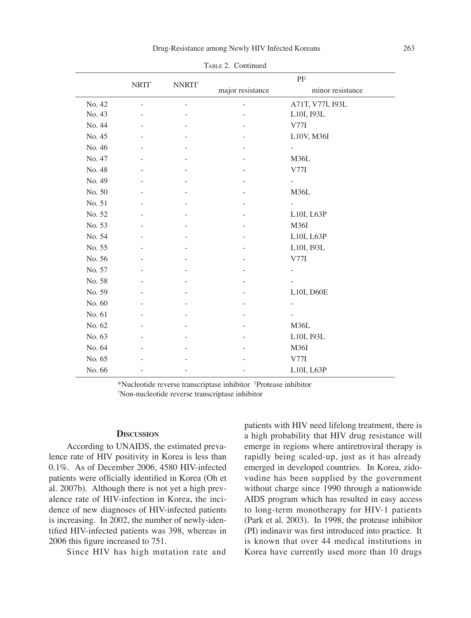|        | NRTI <sup>*</sup> |                           | $PI^*$           |                          |
|--------|-------------------|---------------------------|------------------|--------------------------|
|        |                   | <b>NNRTI</b> <sup>†</sup> | major resistance | minor resistance         |
| No. 42 |                   |                           |                  | A71T, V77I, I93L         |
| No. 43 |                   |                           |                  | L10I, 193L               |
| No. 44 |                   |                           |                  | V77I                     |
| No. 45 |                   |                           |                  | L10V, M36I               |
| No. 46 |                   |                           |                  | $\overline{\phantom{0}}$ |
| No. 47 |                   |                           |                  | M36L                     |
| No. 48 |                   |                           |                  | V77I                     |
| No. 49 |                   |                           |                  |                          |
| No. 50 |                   |                           |                  | M36L                     |
| No. 51 |                   |                           |                  |                          |
| No. 52 |                   |                           |                  | L10I, L63P               |
| No. 53 |                   |                           |                  | M36I                     |
| No. 54 |                   |                           |                  | L10I, L63P               |
| No. 55 |                   |                           |                  | L10I, 193L               |
| No. 56 |                   |                           |                  | V77I                     |
| No. 57 |                   |                           |                  |                          |
| No. 58 |                   |                           |                  |                          |
| No. 59 |                   |                           |                  | L10I, D60E               |
| No. 60 |                   |                           |                  |                          |
| No. 61 |                   |                           |                  |                          |
| No. 62 |                   |                           |                  | M36L                     |
| No. 63 |                   |                           |                  | L10I, 193L               |
| No. 64 |                   |                           |                  | M36I                     |
| No. 65 |                   |                           |                  | V77I                     |
| No. 66 |                   | $\overline{\phantom{0}}$  |                  | L10I, L63P               |

TABLE 2. Continued

\*Nucleotide reverse transcriptase inhibitor ‡ Protease inhibitor † Non-nucleotide reverse transcriptase inhibitor

#### **DISCUSSION**

According to UNAIDS, the estimated prevalence rate of HIV positivity in Korea is less than 0.1%. As of December 2006, 4580 HIV-infected patients were officially identified in Korea (Oh et al. 2007b). Although there is not yet a high prevalence rate of HIV-infection in Korea, the incidence of new diagnoses of HIV-infected patients is increasing. In 2002, the number of newly-identified HIV-infected patients was 398, whereas in 2006 this figure increased to 751.

Since HIV has high mutation rate and

patients with HIV need lifelong treatment, there is a high probability that HIV drug resistance will emerge in regions where antiretroviral therapy is rapidly being scaled-up, just as it has already emerged in developed countries. In Korea, zidovudine has been supplied by the government without charge since 1990 through a nationwide AIDS program which has resulted in easy access to long-term monotherapy for HIV-1 patients (Park et al. 2003). In 1998, the protease inhibitor (PI) indinavir was first introduced into practice. It is known that over 44 medical institutions in Korea have currently used more than 10 drugs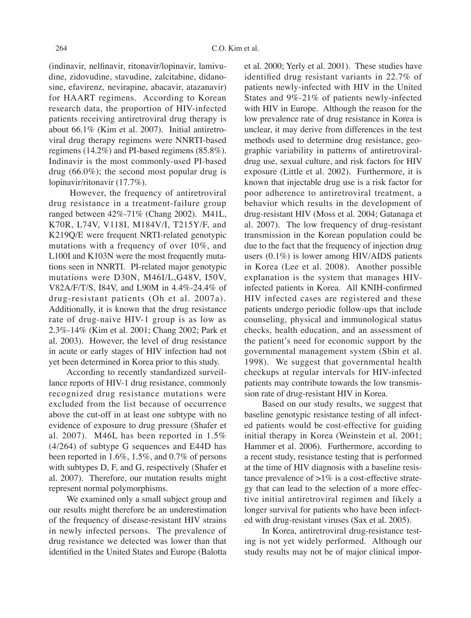(indinavir, nelfinavir, ritonavir/lopinavir, lamivudine, zidovudine, stavudine, zalcitabine, didanosine, efavirenz, nevirapine, abacavir, atazanavir) for HAART regimens. According to Korean research data, the proportion of HIV-infected patients receiving antiretroviral drug therapy is about 66.1% (Kim et al. 2007). Initial antiretroviral drug therapy regimens were NNRTI-based regimens (14.2%) and PI-based regimens (85.8%). Indinavir is the most commonly-used PI-based drug  $(66.0\%)$ ; the second most popular drug is lopinavir/ritonavir (17.7%).

 However, the frequency of antiretroviral drug resistance in a treatment-failure group ranged between 42%-71% (Chang 2002). M41L, K70R, L74V, V118I, M184V/I, T215Y/F, and K219Q/E were frequent NRTI-related genotypic mutations with a frequency of over 10%, and L100I and K103N were the most frequently mutations seen in NNRTI. PI-related major genotypic mutations were D30N, M46I/L,G48V, I50V, V82A/F/T/S, I84V, and L90M in 4.4%-24.4% of drug-resistant patients (Oh et al. 2007a). Additionally, it is known that the drug resistance rate of drug-naive HIV-1 group is as low as 2.3%-14% (Kim et al. 2001; Chang 2002; Park et al. 2003). However, the level of drug resistance in acute or early stages of HIV infection had not yet been determined in Korea prior to this study.

According to recently standardized surveillance reports of HIV-1 drug resistance, commonly recognized drug resistance mutations were excluded from the list because of occurrence above the cut-off in at least one subtype with no evidence of exposure to drug pressure (Shafer et al. 2007). M46L has been reported in 1.5% (4/264) of subtype G sequences and E44D has been reported in 1.6%, 1.5%, and 0.7% of persons with subtypes D, F, and G, respectively (Shafer et al. 2007). Therefore, our mutation results might represent normal polymorphisms.

We examined only a small subject group and our results might therefore be an underestimation of the frequency of disease-resistant HIV strains in newly infected persons. The prevalence of drug resistance we detected was lower than that identified in the United States and Europe (Balotta et al. 2000; Yerly et al. 2001). These studies have identified drug resistant variants in 22.7% of patients newly-infected with HIV in the United States and 9%-21% of patients newly-infected with HIV in Europe. Although the reason for the low prevalence rate of drug resistance in Korea is unclear, it may derive from differences in the test methods used to determine drug resistance, geographic variability in patterns of antiretroviraldrug use, sexual culture, and risk factors for HIV exposure (Little et al. 2002). Furthermore, it is known that injectable drug use is a risk factor for poor adherence to antiretroviral treatment, a behavior which results in the development of drug-resistant HIV (Moss et al. 2004; Gatanaga et al. 2007). The low frequency of drug-resistant transmission in the Korean population could be due to the fact that the frequency of injection drug users (0.1%) is lower among HIV/AIDS patients in Korea (Lee et al. 2008). Another possible explanation is the system that manages HIVinfected patients in Korea. All KNIH-confirmed HIV infected cases are registered and these patients undergo periodic follow-ups that include counseling, physical and immunological status checks, health education, and an assessment of the patient's need for economic support by the governmental management system (Shin et al. 1998). We suggest that governmental health checkups at regular intervals for HIV-infected patients may contribute towards the low transmission rate of drug-resistant HIV in Korea.

Based on our study results, we suggest that baseline genotypic resistance testing of all infected patients would be cost-effective for guiding initial therapy in Korea (Weinstein et al. 2001; Hammer et al. 2006). Furthermore, according to a recent study, resistance testing that is performed at the time of HIV diagnosis with a baseline resistance prevalence of  $>1\%$  is a cost-effective strategy that can lead to the selection of a more effective initial antiretroviral regimen and likely a longer survival for patients who have been infected with drug-resistant viruses (Sax et al. 2005).

In Korea, antiretroviral drug-resistance testing is not yet widely performed. Although our study results may not be of major clinical impor